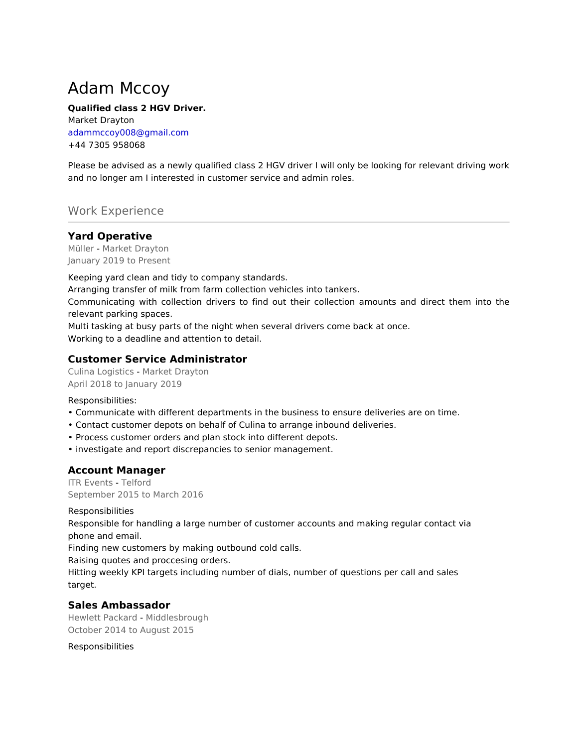# Adam Mccoy

#### **Qualified class 2 HGV Driver.**

Market Drayton adammccoy008@gmail.com +44 7305 958068

Please be advised as a newly qualified class 2 HGV driver I will only be looking for relevant driving work and no longer am I interested in customer service and admin roles.

# Work Experience

#### **Yard Operative**

Müller - Market Drayton January 2019 to Present

Keeping yard clean and tidy to company standards.

Arranging transfer of milk from farm collection vehicles into tankers.

Communicating with collection drivers to find out their collection amounts and direct them into the relevant parking spaces.

Multi tasking at busy parts of the night when several drivers come back at once. Working to a deadline and attention to detail.

#### **Customer Service Administrator**

Culina Logistics - Market Drayton April 2018 to January 2019

Responsibilities:

- Communicate with different departments in the business to ensure deliveries are on time.
- Contact customer depots on behalf of Culina to arrange inbound deliveries.
- Process customer orders and plan stock into different depots.
- investigate and report discrepancies to senior management.

## **Account Manager**

ITR Events - Telford September 2015 to March 2016

**Responsibilities** 

Responsible for handling a large number of customer accounts and making regular contact via phone and email.

Finding new customers by making outbound cold calls.

Raising quotes and proccesing orders.

Hitting weekly KPI targets including number of dials, number of questions per call and sales target.

## **Sales Ambassador**

Hewlett Packard - Middlesbrough October 2014 to August 2015

Responsibilities